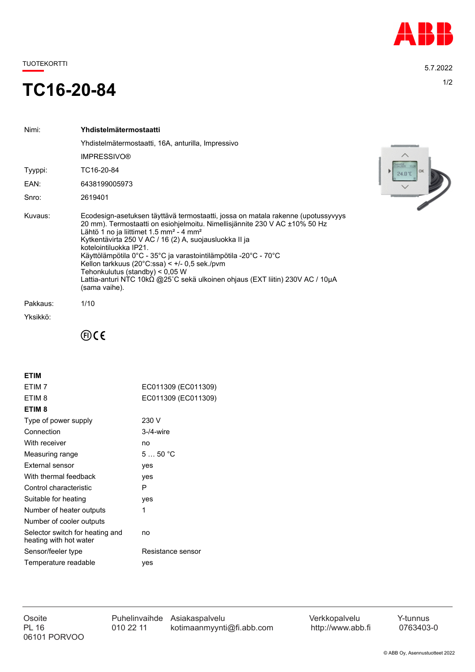

TUOTEKORTTI 5.7.2022

## TC16-20-84

| Nimi:    | Yhdistelmätermostaatti                                                                                                                                                                                                                                                                                                                                                                                                                                                                                                                                                           |
|----------|----------------------------------------------------------------------------------------------------------------------------------------------------------------------------------------------------------------------------------------------------------------------------------------------------------------------------------------------------------------------------------------------------------------------------------------------------------------------------------------------------------------------------------------------------------------------------------|
|          | Yhdistelmätermostaatti, 16A, anturilla, Impressivo                                                                                                                                                                                                                                                                                                                                                                                                                                                                                                                               |
|          | <b>IMPRESSIVO®</b>                                                                                                                                                                                                                                                                                                                                                                                                                                                                                                                                                               |
| Tyyppi:  | TC16-20-84                                                                                                                                                                                                                                                                                                                                                                                                                                                                                                                                                                       |
| EAN:     | 6438199005973                                                                                                                                                                                                                                                                                                                                                                                                                                                                                                                                                                    |
| Snro:    | 2619401                                                                                                                                                                                                                                                                                                                                                                                                                                                                                                                                                                          |
| Kuvaus:  | Ecodesign-asetuksen täyttävä termostaatti, jossa on matala rakenne (upotussyvyys<br>20 mm). Termostaatti on esiohjelmoitu. Nimellisjännite 230 V AC ±10% 50 Hz<br>Lähtö 1 no ja liittimet 1.5 mm <sup>2</sup> - 4 mm <sup>2</sup><br>Kytkentävirta 250 V AC / 16 (2) A, suojausluokka II ja<br>kotelointiluokka IP21.<br>Käyttölämpötila 0°C - 35°C ja varastointilämpötila -20°C - 70°C<br>Kellon tarkkuus (20°C:ssa) < $+/-$ 0,5 sek./pvm<br>Tehonkulutus (standby) < 0,05 W<br>Lattia-anturi NTC 10kΩ @25°C sekä ulkoinen ohjaus (EXT liitin) 230V AC / 10μA<br>(sama vaihe). |
| Pakkaus: | 1/10                                                                                                                                                                                                                                                                                                                                                                                                                                                                                                                                                                             |
| Yksikkö: |                                                                                                                                                                                                                                                                                                                                                                                                                                                                                                                                                                                  |



 $\oplus$ CE

| <b>FTIM</b>                                               |                     |
|-----------------------------------------------------------|---------------------|
| FTIM <sub>7</sub>                                         | EC011309 (EC011309) |
| ETIM 8                                                    | EC011309 (EC011309) |
| ETIM <sub>8</sub>                                         |                     |
| Type of power supply                                      | 230 V               |
| Connection                                                | $3-4$ -wire         |
| With receiver                                             | no                  |
| Measuring range                                           | 550 °C              |
| External sensor                                           | ves                 |
| With thermal feedback                                     | yes                 |
| Control characteristic                                    | P                   |
| Suitable for heating                                      | yes                 |
| Number of heater outputs                                  | 1                   |
| Number of cooler outputs                                  |                     |
| Selector switch for heating and<br>heating with hot water | no                  |
| Sensor/feeler type                                        | Resistance sensor   |
| Temperature readable                                      | ves                 |
|                                                           |                     |

06101 PORVOO